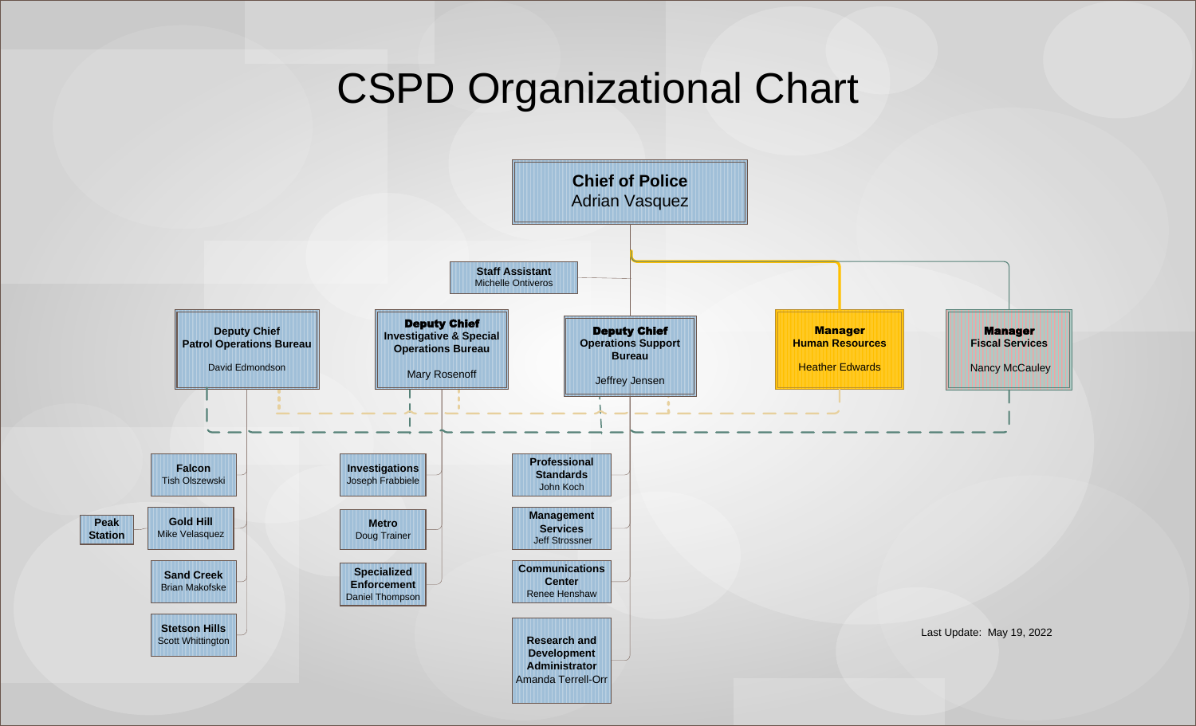## CSPD Organizational Chart

<span id="page-0-0"></span>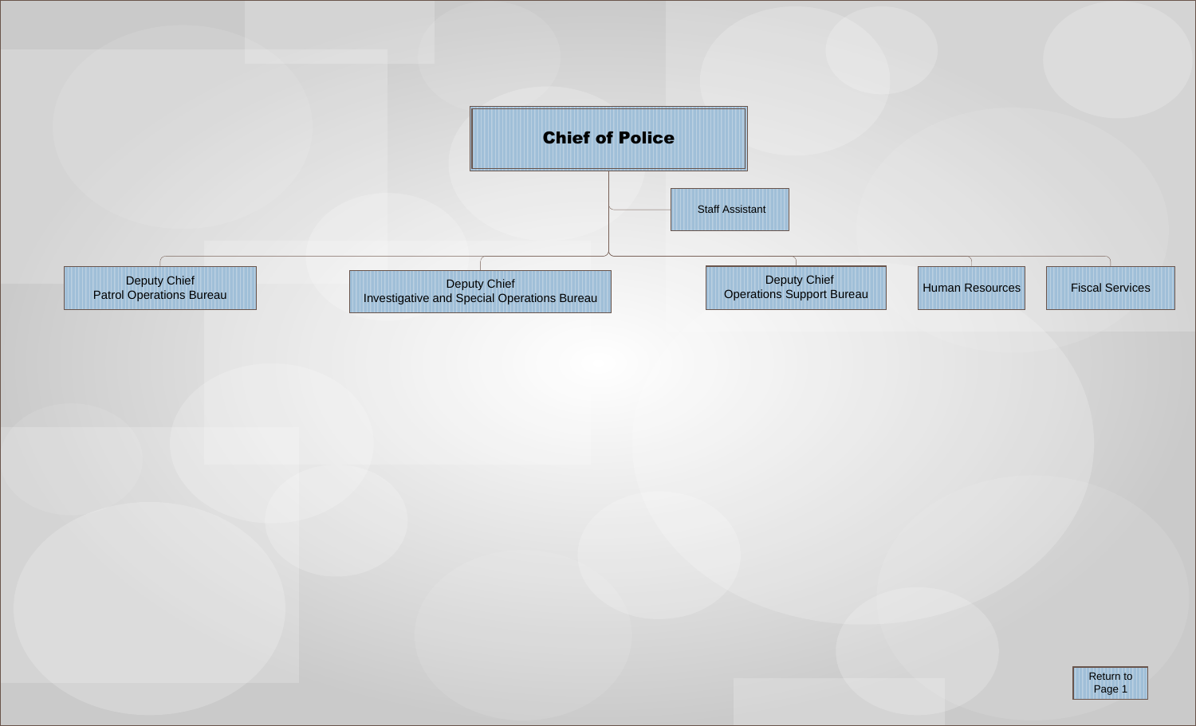<span id="page-1-0"></span>

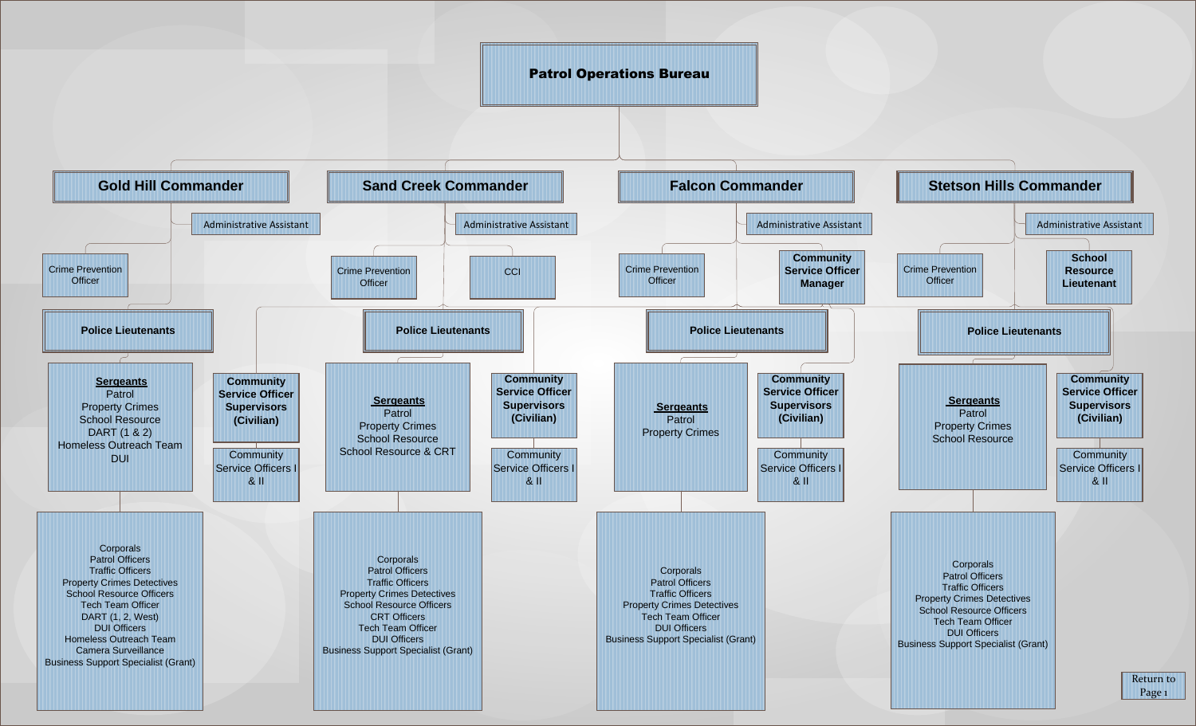<span id="page-2-0"></span>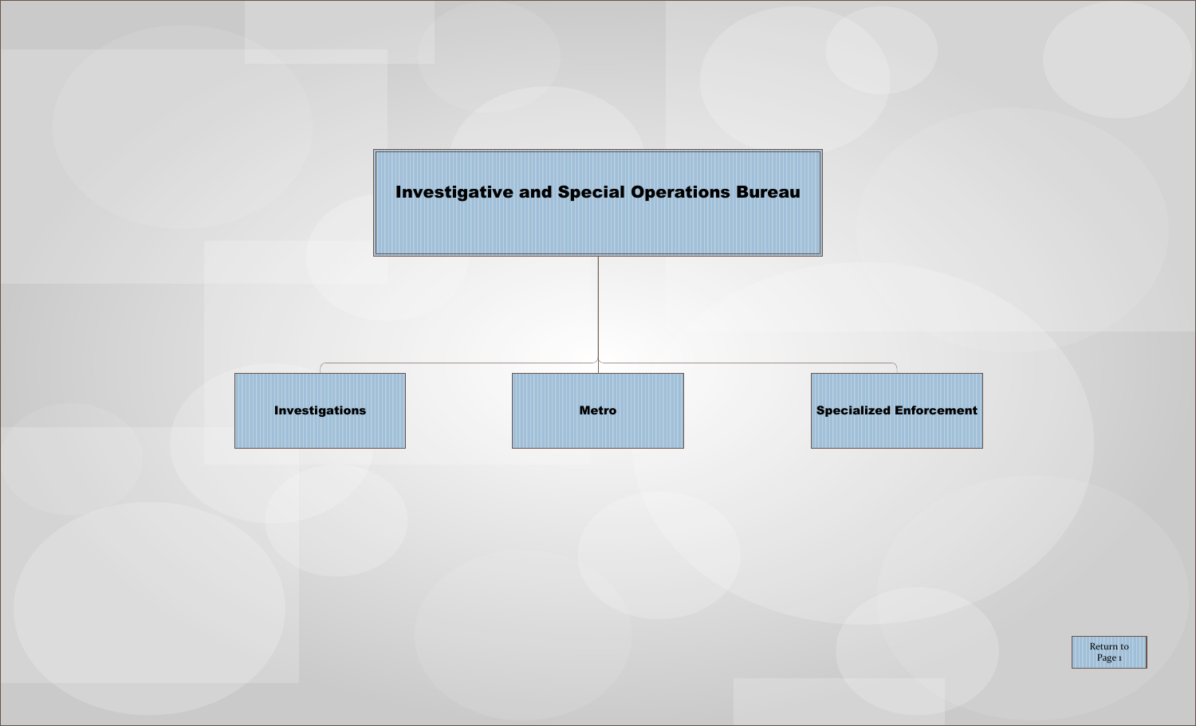[Investigative and Special Operations Bureau](#page-0-0)

<span id="page-3-0"></span>

[Return to](#page-0-0) Page 1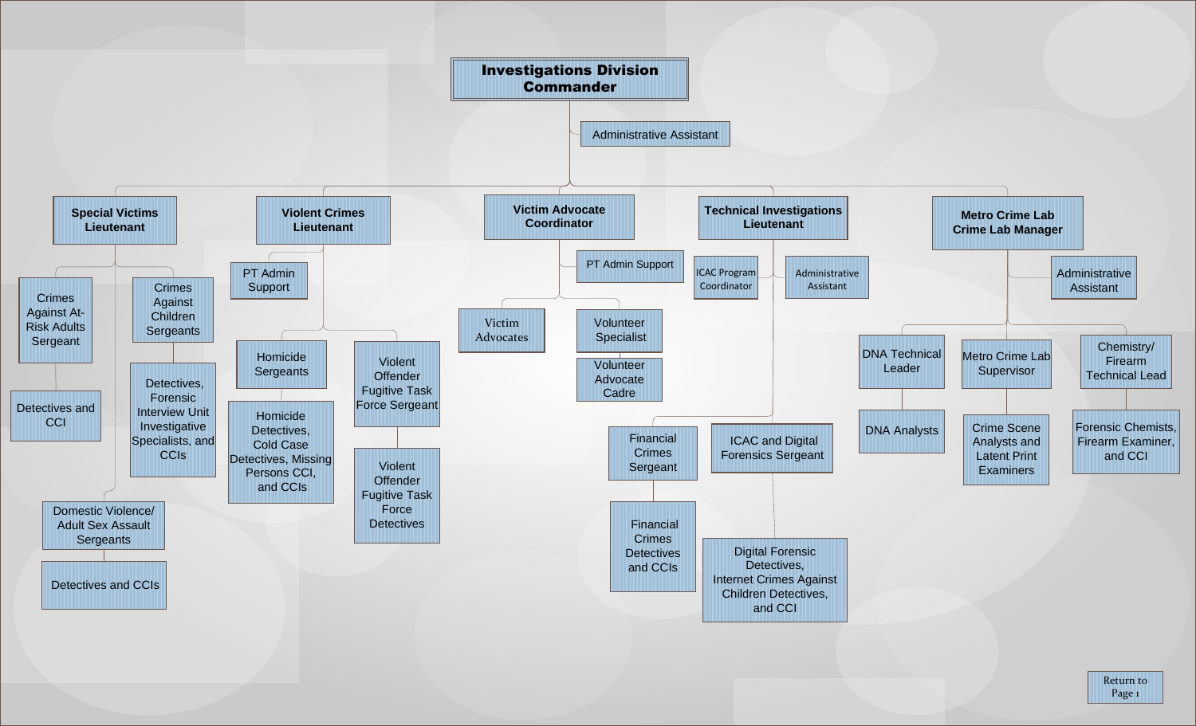<span id="page-4-0"></span>

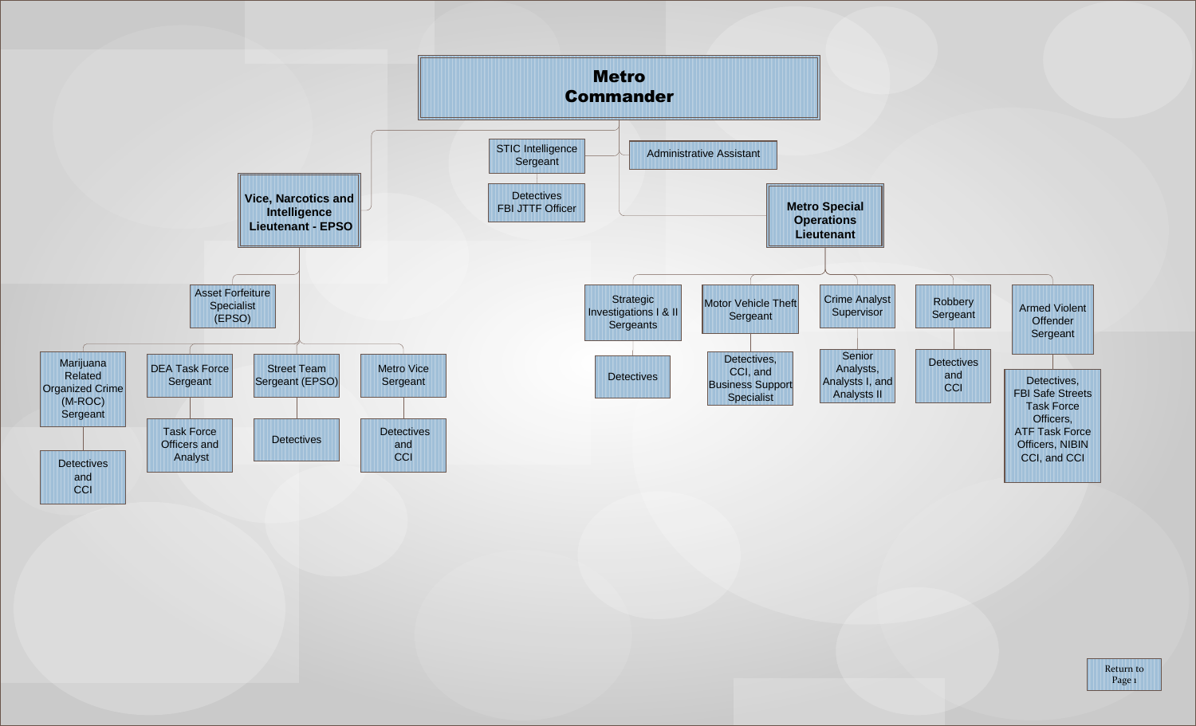<span id="page-5-0"></span>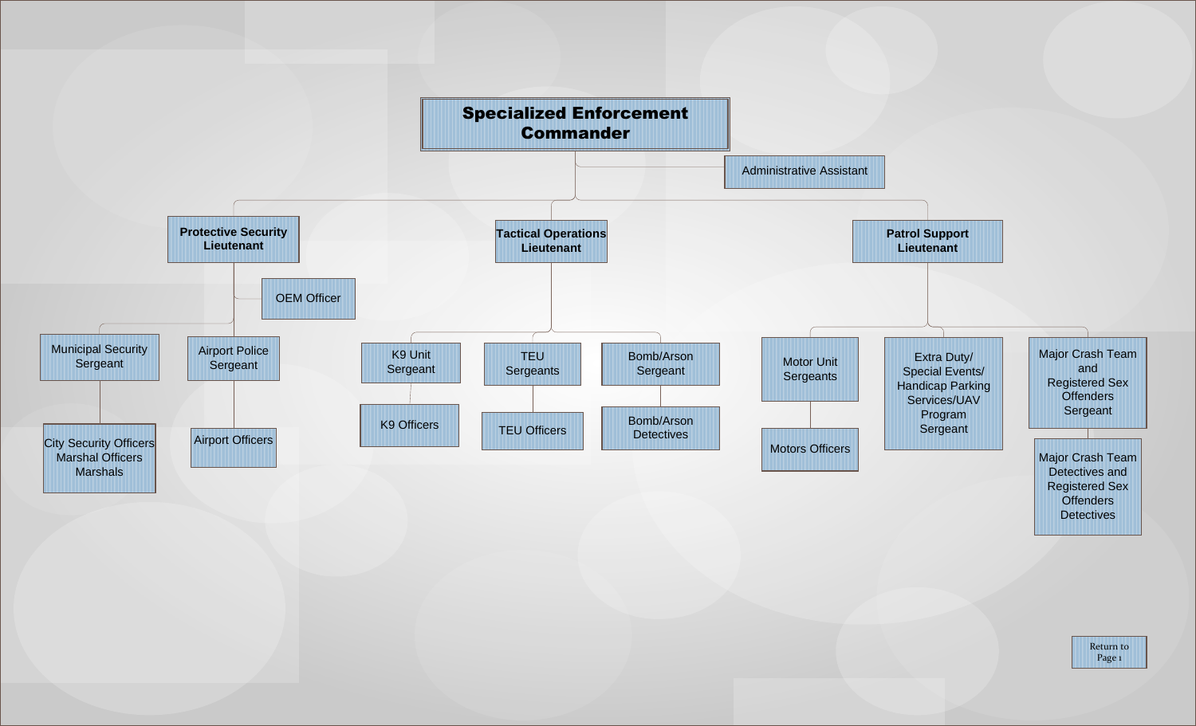<span id="page-6-0"></span>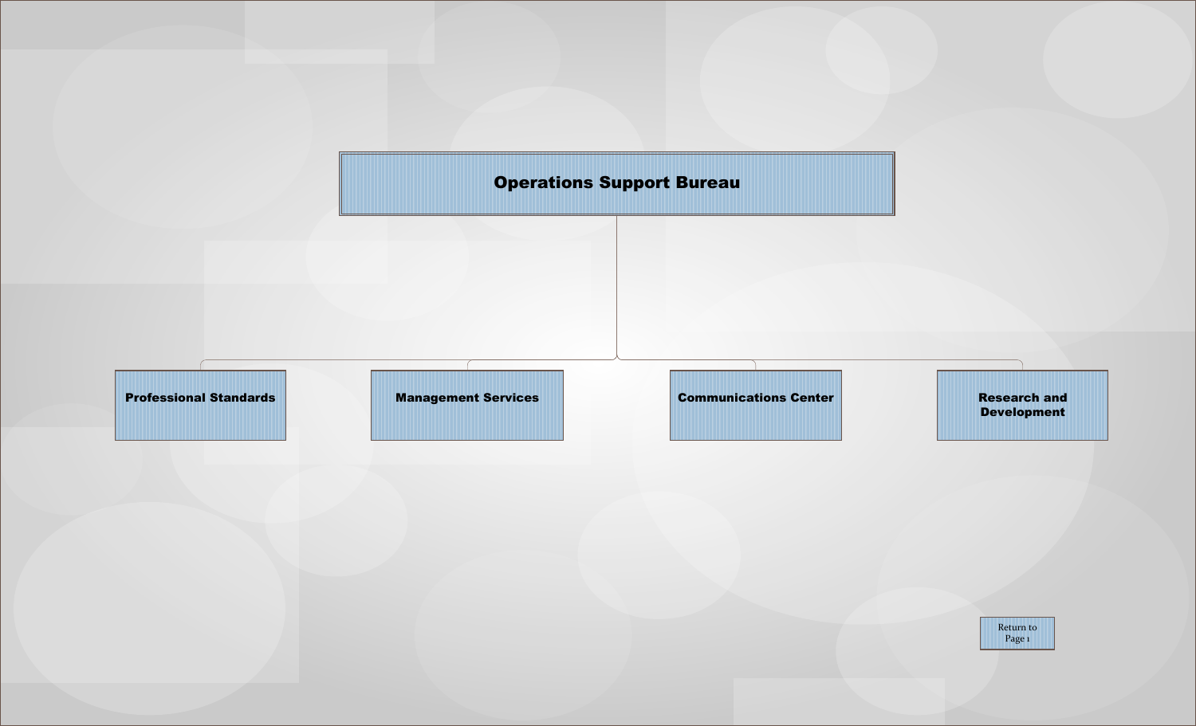<span id="page-7-0"></span>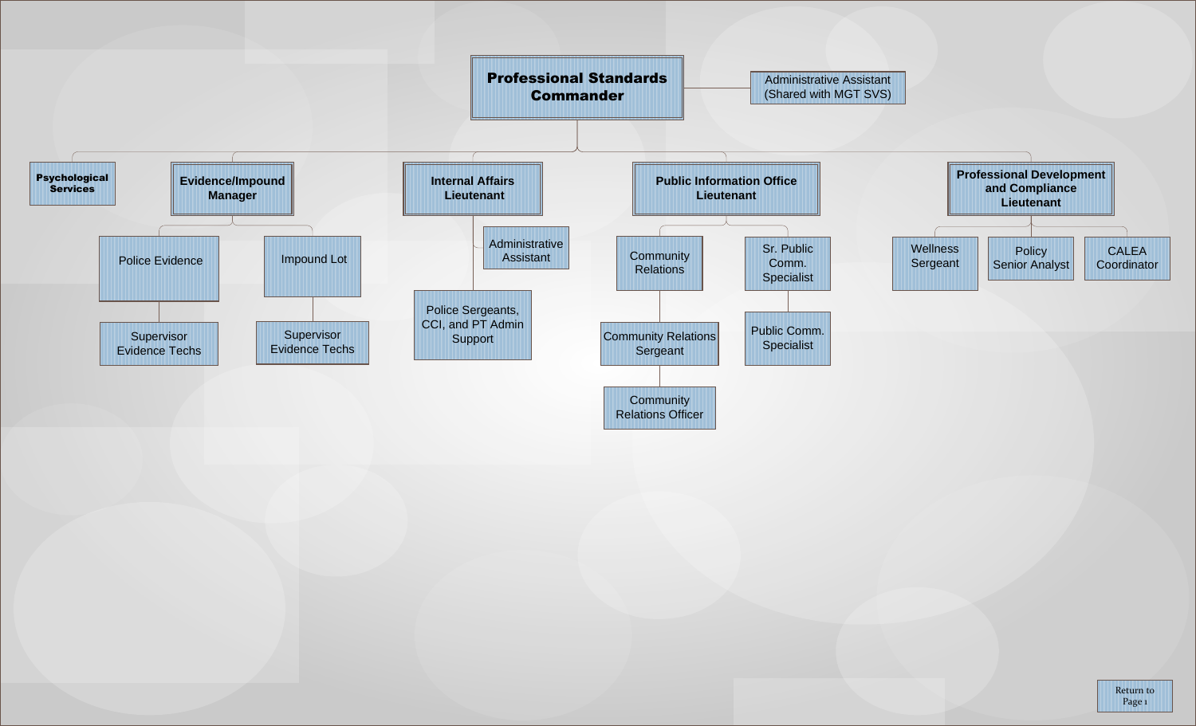<span id="page-8-0"></span>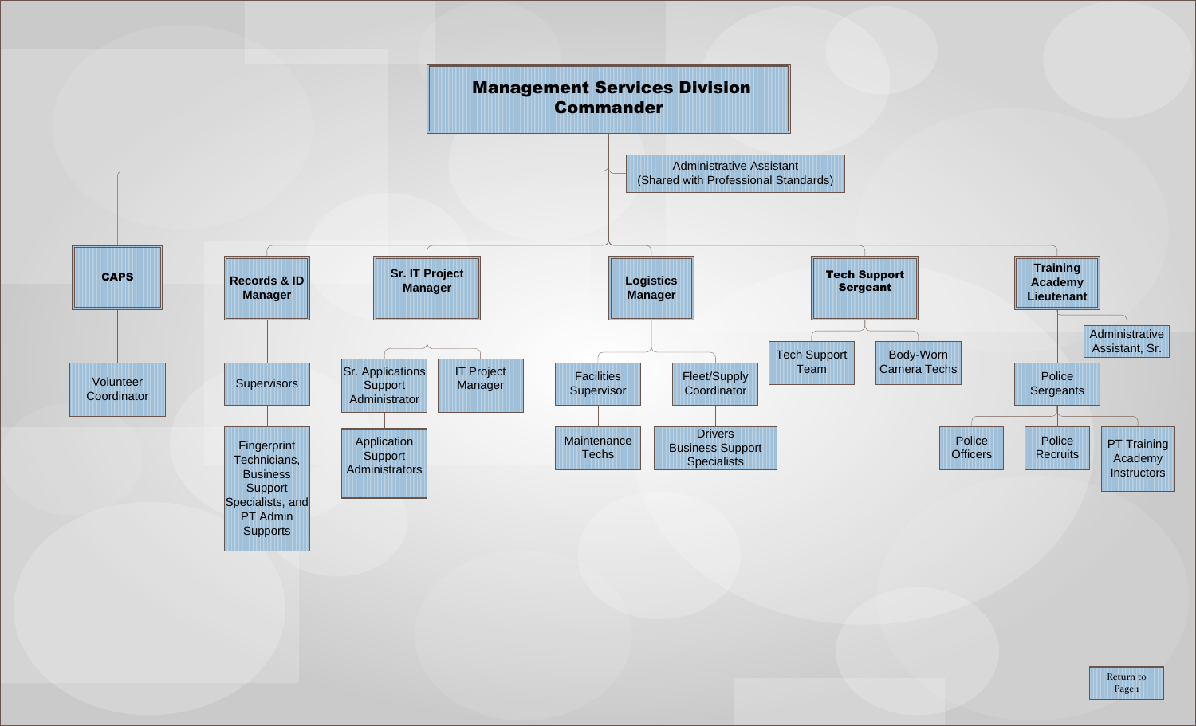<span id="page-9-0"></span>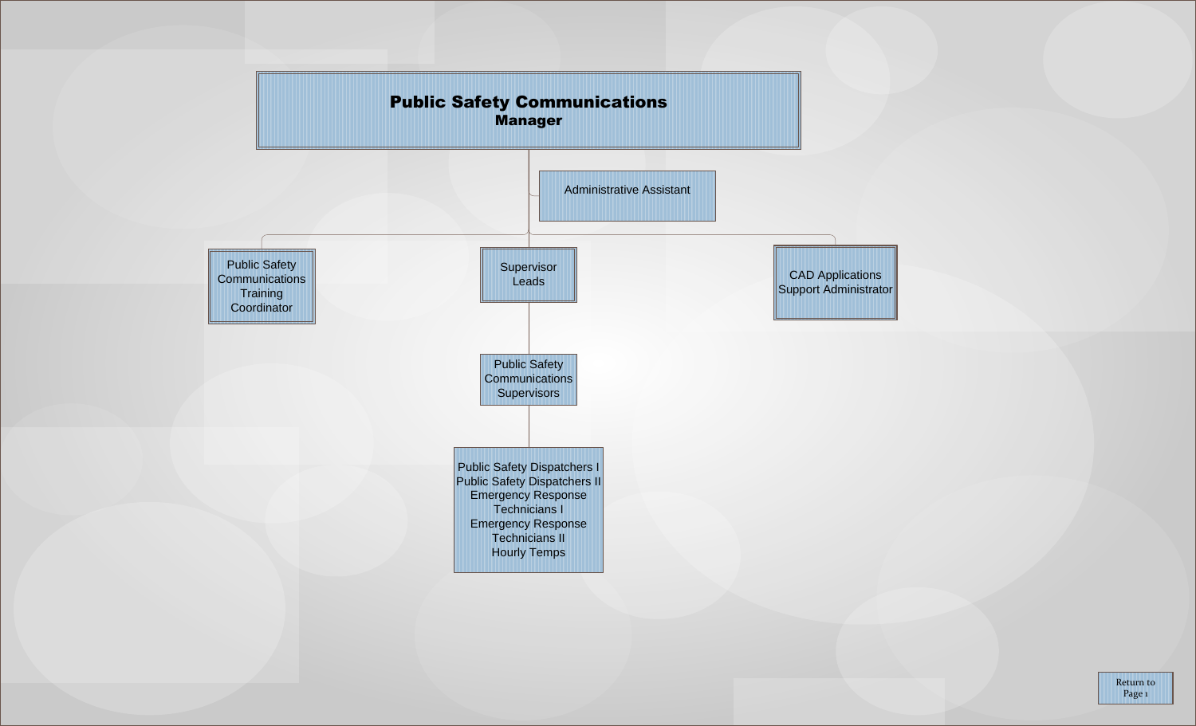<span id="page-10-0"></span>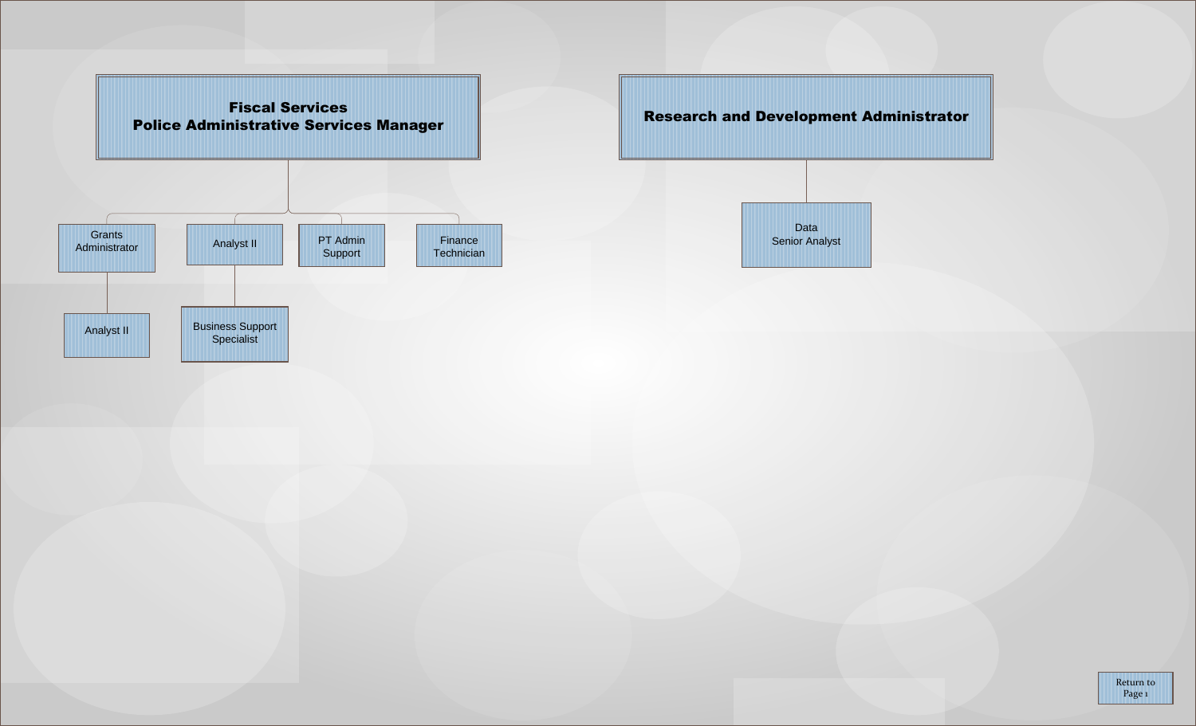<span id="page-11-0"></span>